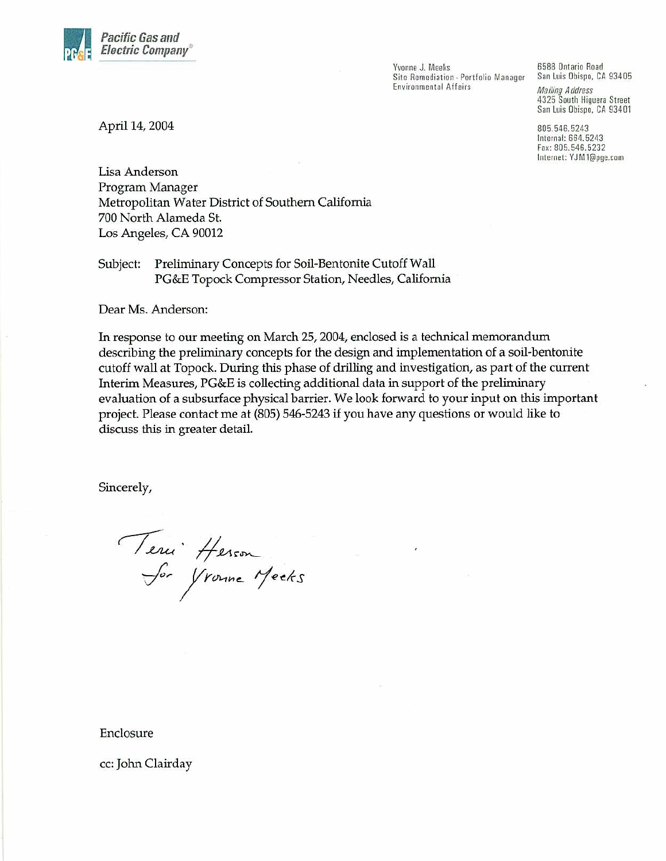

Yvonne J. Meeks Site Remediation - Portfolio Manager **Environmental Affairs** 

6588 Ontario Road San Luis Obispo, CA 93405 **Mailing Address** 4325 South Higuera Street San Luis Obispo, CA 93401

805.546.5243 Internal: 664.5243 Fax: 805.546.5232 Internet: YJM1@pge.com

April 14, 2004

Lisa Anderson Program Manager Metropolitan Water District of Southern California 700 North Alameda St. Los Angeles, CA 90012

Preliminary Concepts for Soil-Bentonite Cutoff Wall Subject: PG&E Topock Compressor Station, Needles, California

Dear Ms. Anderson:

In response to our meeting on March 25, 2004, enclosed is a technical memorandum describing the preliminary concepts for the design and implementation of a soil-bentonite cutoff wall at Topock. During this phase of drilling and investigation, as part of the current Interim Measures, PG&E is collecting additional data in support of the preliminary evaluation of a subsurface physical barrier. We look forward to your input on this important project. Please contact me at (805) 546-5243 if you have any questions or would like to discuss this in greater detail.

Sincerely,

Teru Herson<br>Sor Yronne Meeks

Enclosure

cc: John Clairday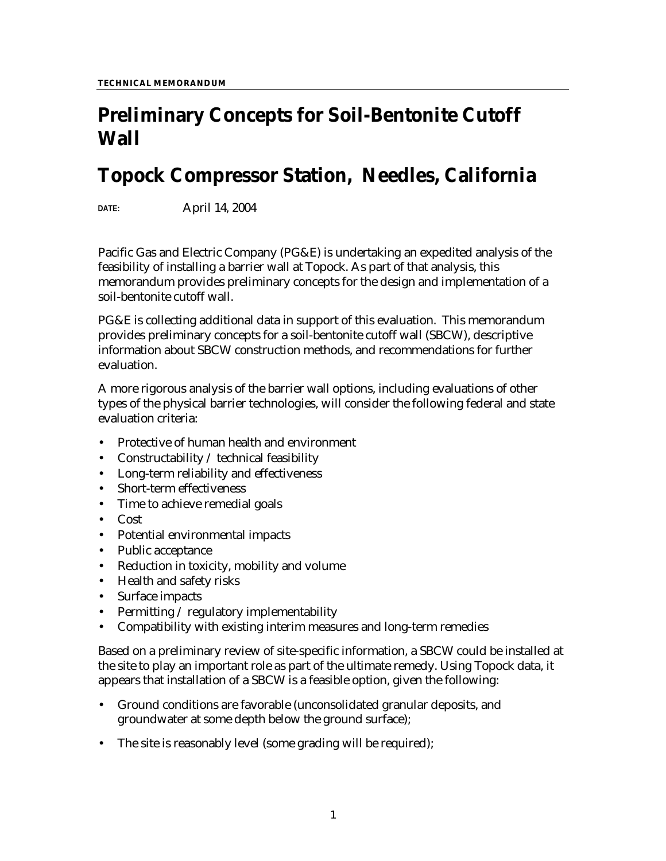# **Preliminary Concepts for Soil-Bentonite Cutoff Wall**

## **Topock Compressor Station, Needles, California**

**DATE:** April 14, 2004

Pacific Gas and Electric Company (PG&E) is undertaking an expedited analysis of the feasibility of installing a barrier wall at Topock. As part of that analysis, this memorandum provides preliminary concepts for the design and implementation of a soil-bentonite cutoff wall.

PG&E is collecting additional data in support of this evaluation. This memorandum provides preliminary concepts for a soil-bentonite cutoff wall (SBCW), descriptive information about SBCW construction methods, and recommendations for further evaluation.

A more rigorous analysis of the barrier wall options, including evaluations of other types of the physical barrier technologies, will consider the following federal and state evaluation criteria:

- Protective of human health and environment
- Constructability / technical feasibility
- Long-term reliability and effectiveness
- Short-term effectiveness
- Time to achieve remedial goals
- Cost
- Potential environmental impacts
- Public acceptance
- Reduction in toxicity, mobility and volume
- Health and safety risks
- Surface impacts
- Permitting / regulatory implementability
- Compatibility with existing interim measures and long-term remedies

Based on a preliminary review of site-specific information, a SBCW could be installed at the site to play an important role as part of the ultimate remedy. Using Topock data, it appears that installation of a SBCW is a feasible option, given the following:

- Ground conditions are favorable (unconsolidated granular deposits, and groundwater at some depth below the ground surface);
- The site is reasonably level (some grading will be required);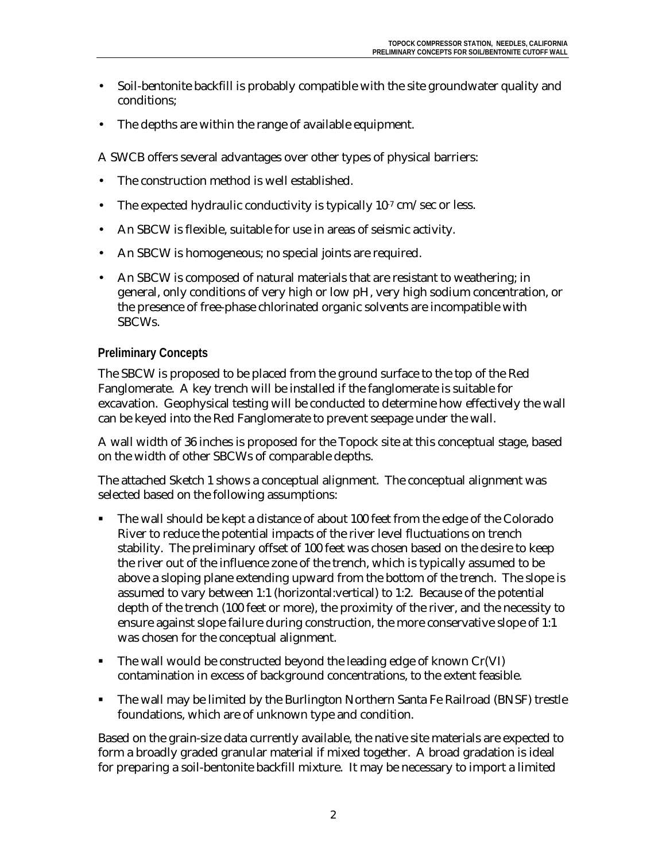- Soil-bentonite backfill is probably compatible with the site groundwater quality and conditions;
- The depths are within the range of available equipment.

A SWCB offers several advantages over other types of physical barriers:

- The construction method is well established.
- The expected hydraulic conductivity is typically  $10^{-7}$  cm/sec or less.
- An SBCW is flexible, suitable for use in areas of seismic activity.
- An SBCW is homogeneous; no special joints are required.
- An SBCW is composed of natural materials that are resistant to weathering; in general, only conditions of very high or low pH, very high sodium concentration, or the presence of free-phase chlorinated organic solvents are incompatible with SBCWs.

#### **Preliminary Concepts**

The SBCW is proposed to be placed from the ground surface to the top of the Red Fanglomerate. A key trench will be installed if the fanglomerate is suitable for excavation. Geophysical testing will be conducted to determine how effectively the wall can be keyed into the Red Fanglomerate to prevent seepage under the wall.

A wall width of 36 inches is proposed for the Topock site at this conceptual stage, based on the width of other SBCWs of comparable depths.

The attached Sketch 1 shows a conceptual alignment. The conceptual alignment was selected based on the following assumptions:

- The wall should be kept a distance of about 100 feet from the edge of the Colorado River to reduce the potential impacts of the river level fluctuations on trench stability. The preliminary offset of 100 feet was chosen based on the desire to keep the river out of the influence zone of the trench, which is typically assumed to be above a sloping plane extending upward from the bottom of the trench. The slope is assumed to vary between 1:1 (horizontal:vertical) to 1:2. Because of the potential depth of the trench (100 feet or more), the proximity of the river, and the necessity to ensure against slope failure during construction, the more conservative slope of 1:1 was chosen for the conceptual alignment.
- The wall would be constructed beyond the leading edge of known Cr(VI) contamination in excess of background concentrations, to the extent feasible.
- The wall may be limited by the Burlington Northern Santa Fe Railroad (BNSF) trestle foundations, which are of unknown type and condition.

Based on the grain-size data currently available, the native site materials are expected to form a broadly graded granular material if mixed together. A broad gradation is ideal for preparing a soil-bentonite backfill mixture. It may be necessary to import a limited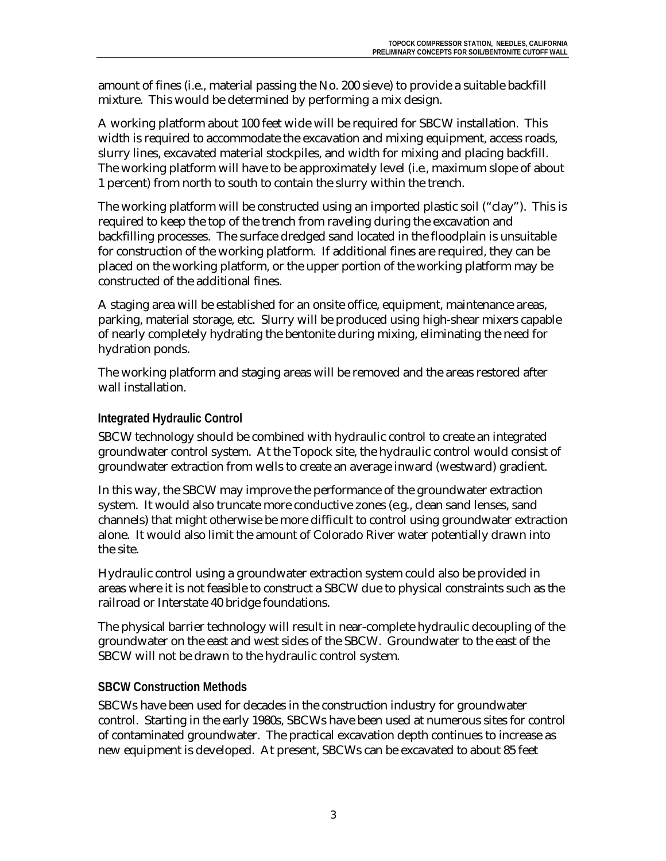amount of fines (i.e., material passing the No. 200 sieve) to provide a suitable backfill mixture. This would be determined by performing a mix design.

A working platform about 100 feet wide will be required for SBCW installation. This width is required to accommodate the excavation and mixing equipment, access roads, slurry lines, excavated material stockpiles, and width for mixing and placing backfill. The working platform will have to be approximately level (*i.e.*, maximum slope of about 1 percent) from north to south to contain the slurry within the trench.

The working platform will be constructed using an imported plastic soil ("clay"). This is required to keep the top of the trench from raveling during the excavation and backfilling processes. The surface dredged sand located in the floodplain is unsuitable for construction of the working platform. If additional fines are required, they can be placed on the working platform, or the upper portion of the working platform may be constructed of the additional fines.

A staging area will be established for an onsite office, equipment, maintenance areas, parking, material storage, etc. Slurry will be produced using high-shear mixers capable of nearly completely hydrating the bentonite during mixing, eliminating the need for hydration ponds.

The working platform and staging areas will be removed and the areas restored after wall installation.

### **Integrated Hydraulic Control**

SBCW technology should be combined with hydraulic control to create an integrated groundwater control system. At the Topock site, the hydraulic control would consist of groundwater extraction from wells to create an average inward (westward) gradient.

In this way, the SBCW may improve the performance of the groundwater extraction system. It would also truncate more conductive zones (*e.g.*, clean sand lenses, sand channels) that might otherwise be more difficult to control using groundwater extraction alone. It would also limit the amount of Colorado River water potentially drawn into the site.

Hydraulic control using a groundwater extraction system could also be provided in areas where it is not feasible to construct a SBCW due to physical constraints such as the railroad or Interstate 40 bridge foundations.

The physical barrier technology will result in near-complete hydraulic decoupling of the groundwater on the east and west sides of the SBCW. Groundwater to the east of the SBCW will not be drawn to the hydraulic control system.

### **SBCW Construction Methods**

SBCWs have been used for decades in the construction industry for groundwater control. Starting in the early 1980s, SBCWs have been used at numerous sites for control of contaminated groundwater. The practical excavation depth continues to increase as new equipment is developed. At present, SBCWs can be excavated to about 85 feet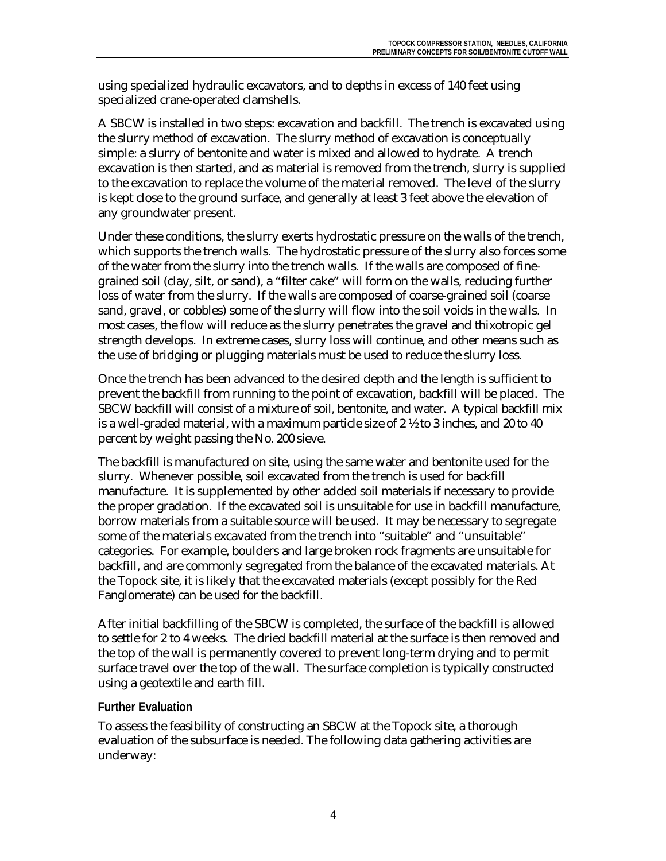using specialized hydraulic excavators, and to depths in excess of 140 feet using specialized crane-operated clamshells.

A SBCW is installed in two steps: excavation and backfill. The trench is excavated using the slurry method of excavation. The slurry method of excavation is conceptually simple: a slurry of bentonite and water is mixed and allowed to hydrate. A trench excavation is then started, and as material is removed from the trench, slurry is supplied to the excavation to replace the volume of the material removed. The level of the slurry is kept close to the ground surface, and generally at least 3 feet above the elevation of any groundwater present.

Under these conditions, the slurry exerts hydrostatic pressure on the walls of the trench, which supports the trench walls. The hydrostatic pressure of the slurry also forces some of the water from the slurry into the trench walls. If the walls are composed of finegrained soil (clay, silt, or sand), a "filter cake" will form on the walls, reducing further loss of water from the slurry. If the walls are composed of coarse-grained soil (coarse sand, gravel, or cobbles) some of the slurry will flow into the soil voids in the walls. In most cases, the flow will reduce as the slurry penetrates the gravel and thixotropic gel strength develops. In extreme cases, slurry loss will continue, and other means such as the use of bridging or plugging materials must be used to reduce the slurry loss.

Once the trench has been advanced to the desired depth and the length is sufficient to prevent the backfill from running to the point of excavation, backfill will be placed. The SBCW backfill will consist of a mixture of soil, bentonite, and water. A typical backfill mix is a well-graded material, with a maximum particle size of  $2\frac{1}{2}$  to 3 inches, and 20 to 40 percent by weight passing the No. 200 sieve.

The backfill is manufactured on site, using the same water and bentonite used for the slurry. Whenever possible, soil excavated from the trench is used for backfill manufacture. It is supplemented by other added soil materials if necessary to provide the proper gradation. If the excavated soil is unsuitable for use in backfill manufacture, borrow materials from a suitable source will be used. It may be necessary to segregate some of the materials excavated from the trench into "suitable" and "unsuitable" categories. For example, boulders and large broken rock fragments are unsuitable for backfill, and are commonly segregated from the balance of the excavated materials. At the Topock site, it is likely that the excavated materials (except possibly for the Red Fanglomerate) can be used for the backfill.

After initial backfilling of the SBCW is completed, the surface of the backfill is allowed to settle for 2 to 4 weeks. The dried backfill material at the surface is then removed and the top of the wall is permanently covered to prevent long-term drying and to permit surface travel over the top of the wall. The surface completion is typically constructed using a geotextile and earth fill.

### **Further Evaluation**

To assess the feasibility of constructing an SBCW at the Topock site, a thorough evaluation of the subsurface is needed. The following data gathering activities are underway: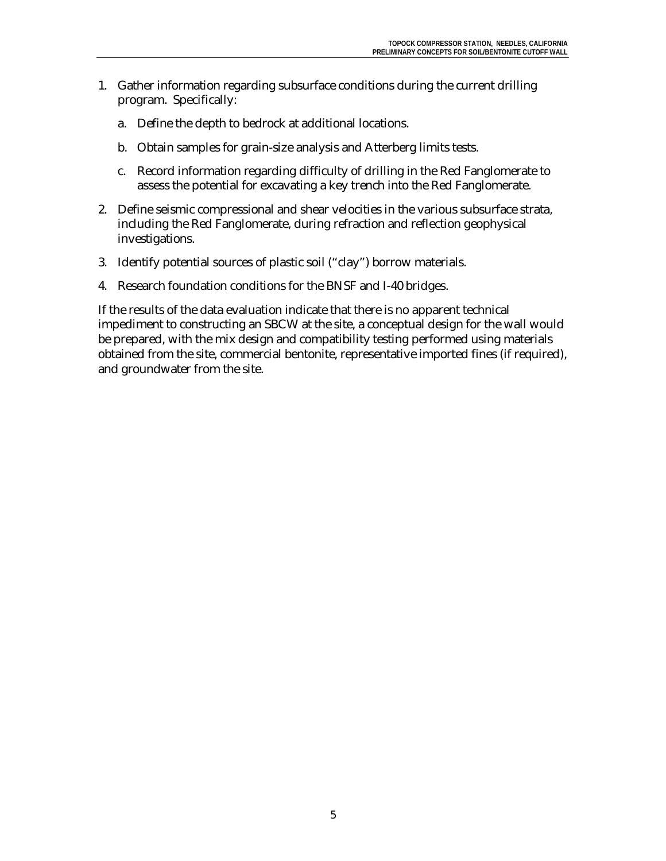- 1. Gather information regarding subsurface conditions during the current drilling program. Specifically:
	- a. Define the depth to bedrock at additional locations.
	- b. Obtain samples for grain-size analysis and Atterberg limits tests.
	- c. Record information regarding difficulty of drilling in the Red Fanglomerate to assess the potential for excavating a key trench into the Red Fanglomerate.
- 2. Define seismic compressional and shear velocities in the various subsurface strata, including the Red Fanglomerate, during refraction and reflection geophysical investigations.
- 3. Identify potential sources of plastic soil ("clay") borrow materials.
- 4. Research foundation conditions for the BNSF and I-40 bridges.

If the results of the data evaluation indicate that there is no apparent technical impediment to constructing an SBCW at the site, a conceptual design for the wall would be prepared, with the mix design and compatibility testing performed using materials obtained from the site, commercial bentonite, representative imported fines (if required), and groundwater from the site.